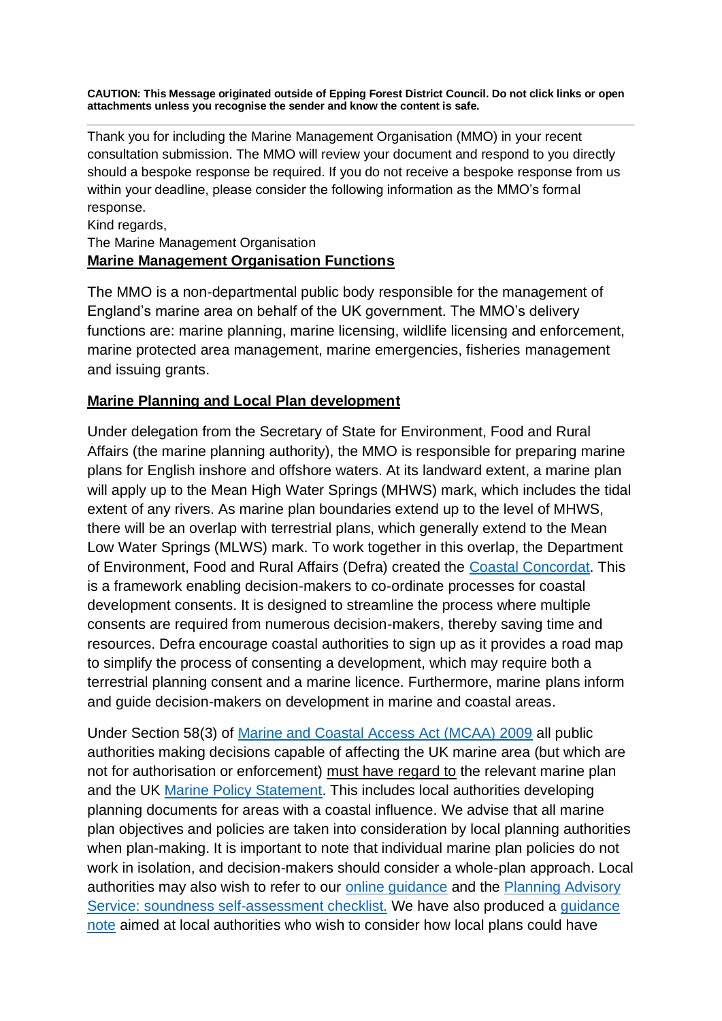**CAUTION: This Message originated outside of Epping Forest District Council. Do not click links or open attachments unless you recognise the sender and know the content is safe.**

Thank you for including the Marine Management Organisation (MMO) in your recent consultation submission. The MMO will review your document and respond to you directly should a bespoke response be required. If you do not receive a bespoke response from us within your deadline, please consider the following information as the MMO's formal response.

### Kind regards, The Marine Management Organisation **Marine Management Organisation Functions**

The MMO is a non-departmental public body responsible for the management of England's marine area on behalf of the UK government. The MMO's delivery functions are: marine planning, marine licensing, wildlife licensing and enforcement, marine protected area management, marine emergencies, fisheries management and issuing grants.

## **Marine Planning and Local Plan development**

Under delegation from the Secretary of State for Environment, Food and Rural Affairs (the marine planning authority), the MMO is responsible for preparing marine plans for English inshore and offshore waters. At its landward extent, a marine plan will apply up to the Mean High Water Springs (MHWS) mark, which includes the tidal extent of any rivers. As marine plan boundaries extend up to the level of MHWS, there will be an overlap with terrestrial plans, which generally extend to the Mean Low Water Springs (MLWS) mark. To work together in this overlap, the Department of Environment, Food and Rural Affairs (Defra) created the [Coastal Concordat.](https://protect-eu.mimecast.com/s/y2-ACrz2iMq2Gh7o67S?domain=gov.uk) This is a framework enabling decision-makers to co-ordinate processes for coastal development consents. It is designed to streamline the process where multiple consents are required from numerous decision-makers, thereby saving time and resources. Defra encourage coastal authorities to sign up as it provides a road map to simplify the process of consenting a development, which may require both a terrestrial planning consent and a marine licence. Furthermore, marine plans inform and guide decision-makers on development in marine and coastal areas.

Under Section 58(3) of [Marine and Coastal Access Act \(MCAA\) 2009](https://protect-eu.mimecast.com/s/KV74CvEQh19A3uXxcXj?domain=legislation.gov.uk) all public authorities making decisions capable of affecting the UK marine area (but which are not for authorisation or enforcement) must have regard to the relevant marine plan and the UK [Marine Policy Statement.](https://protect-eu.mimecast.com/s/sXTRCwG0U6jyWh94ykp?domain=gov.uk) This includes local authorities developing planning documents for areas with a coastal influence. We advise that all marine plan objectives and policies are taken into consideration by local planning authorities when plan-making. It is important to note that individual marine plan policies do not work in isolation, and decision-makers should consider a whole-plan approach. Local authorities may also wish to refer to our [online guidance](https://protect-eu.mimecast.com/s/HrrxCxJ6C8lx3IwtENv?domain=gov.uk) and the [Planning Advisory](https://protect-eu.mimecast.com/s/EVwxCyKwcD1LRhNRxrP?domain=local.gov.uk)  [Service: soundness self-assessment checklist.](https://protect-eu.mimecast.com/s/EVwxCyKwcD1LRhNRxrP?domain=local.gov.uk) We have also produced a [guidance](https://protect-eu.mimecast.com/s/EWfHCzL6UD14AhwFJ24?domain=gov.uk)  [note](https://protect-eu.mimecast.com/s/EWfHCzL6UD14AhwFJ24?domain=gov.uk) aimed at local authorities who wish to consider how local plans could have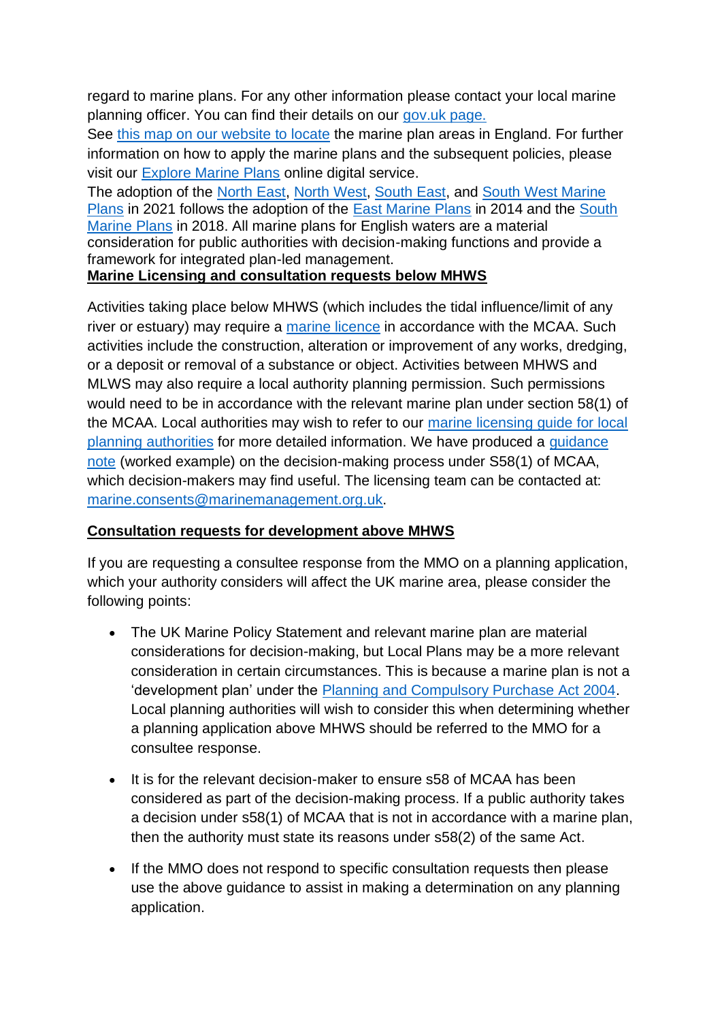regard to marine plans. For any other information please contact your local marine planning officer. You can find their details on our [gov.uk page.](https://protect-eu.mimecast.com/s/KJ9cCBkrCqG8OIregH0?domain=gov.uk) 

See [this map on our website to locate](https://protect-eu.mimecast.com/s/DAT7CDmqCp93kC88J_6?domain=gov.uk) the marine plan areas in England. For further information on how to apply the marine plans and the subsequent policies, please visit our [Explore Marine Plans](https://protect-eu.mimecast.com/s/-O6fCEnqCy7pNh4OfXF?domain=gov.uk) online digital service.

The adoption of the [North East, North West,](https://protect-eu.mimecast.com/s/jZhTCGpRCn7AQiX9uUo?domain=gov.uk) [South East,](http://teamsites/sites/MMOTeams/planreg/MP/Plan%20Making/Cross_Plan_Engagement/LPA_Engagement/Consultation_How_To/The%20South%20East%20Inshore%20marine%20plan) and [South West Marine](https://protect-eu.mimecast.com/s/BfIhCJv8UOJKDsmuRif?domain=gov.uk)  [Plans](https://protect-eu.mimecast.com/s/BfIhCJv8UOJKDsmuRif?domain=gov.uk) in 2021 follows the adoption of the [East Marine Plans](https://protect-eu.mimecast.com/s/5CgSCKw8cKo4GcyzMWO?domain=marinemanagement.org.uk) in 2014 and the [South](https://protect-eu.mimecast.com/s/bCqUCLxZfqWQZIGVWRS?domain=gov.uk)  [Marine Plans](https://protect-eu.mimecast.com/s/bCqUCLxZfqWQZIGVWRS?domain=gov.uk) in 2018. All marine plans for English waters are a material consideration for public authorities with decision-making functions and provide a framework for integrated plan-led management.

## **Marine Licensing and consultation requests below MHWS**

Activities taking place below MHWS (which includes the tidal influence/limit of any river or estuary) may require a [marine licence](https://protect-eu.mimecast.com/s/5LcyCMyZhPrzAi4hPpI?domain=gov.uk) in accordance with the MCAA. Such activities include the construction, alteration or improvement of any works, dredging, or a deposit or removal of a substance or object. Activities between MHWS and MLWS may also require a local authority planning permission. Such permissions would need to be in accordance with the relevant marine plan under section 58(1) of the MCAA. Local authorities may wish to refer to our [marine licensing guide for local](https://protect-eu.mimecast.com/s/aeT4CNzOiLWjGCxu4CT?domain=gov.uk)  [planning authorities](https://protect-eu.mimecast.com/s/aeT4CNzOiLWjGCxu4CT?domain=gov.uk) for more detailed information. We have produced a [guidance](https://protect-eu.mimecast.com/s/EWfHCzL6UD14AhwFJ24?domain=gov.uk)  [note](https://protect-eu.mimecast.com/s/EWfHCzL6UD14AhwFJ24?domain=gov.uk) (worked example) on the decision-making process under S58(1) of MCAA, which decision-makers may find useful. The licensing team can be contacted at: [marine.consents@marinemanagement.org.uk.](mailto:marine.consents@marinemanagement.org.uk)

## **Consultation requests for development above MHWS**

If you are requesting a consultee response from the MMO on a planning application, which your authority considers will affect the UK marine area, please consider the following points:

- The UK Marine Policy Statement and relevant marine plan are material considerations for decision-making, but Local Plans may be a more relevant consideration in certain circumstances. This is because a marine plan is not a 'development plan' under the [Planning and Compulsory Purchase Act 2004.](https://protect-eu.mimecast.com/s/_QSYCOAgfY8vyuXajBQ?domain=legislation.gov.uk) Local planning authorities will wish to consider this when determining whether a planning application above MHWS should be referred to the MMO for a consultee response.
- It is for the relevant decision-maker to ensure s58 of MCAA has been considered as part of the decision-making process. If a public authority takes a decision under s58(1) of MCAA that is not in accordance with a marine plan, then the authority must state its reasons under s58(2) of the same Act.
- If the MMO does not respond to specific consultation requests then please use the above guidance to assist in making a determination on any planning application.